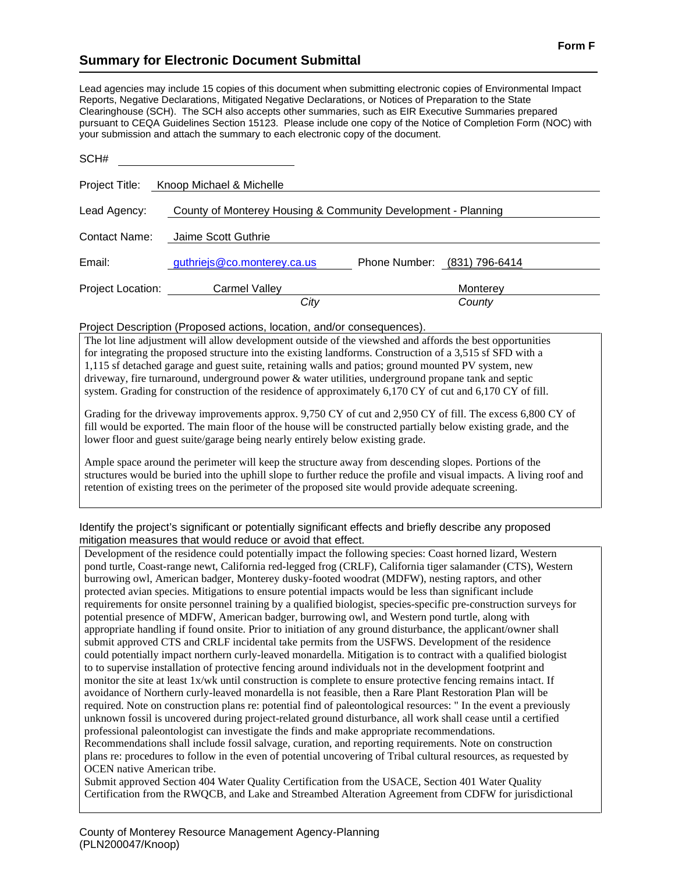## **Summary for Electronic Document Submittal**

Lead agencies may include 15 copies of this document when submitting electronic copies of Environmental Impact Reports, Negative Declarations, Mitigated Negative Declarations, or Notices of Preparation to the State Clearinghouse (SCH). The SCH also accepts other summaries, such as EIR Executive Summaries prepared pursuant to CEQA Guidelines Section 15123. Please include one copy of the Notice of Completion Form (NOC) with your submission and attach the summary to each electronic copy of the document.

| SCH#              |                             |                                                               |
|-------------------|-----------------------------|---------------------------------------------------------------|
| Project Title:    | Knoop Michael & Michelle    |                                                               |
| Lead Agency:      |                             | County of Monterey Housing & Community Development - Planning |
| Contact Name:     | Jaime Scott Guthrie         |                                                               |
| Email:            | guthriejs@co.monterey.ca.us | Phone Number: (831) 796-6414                                  |
| Project Location: | Carmel Valley               | Monterey                                                      |
|                   | City                        | County                                                        |

## Project Description (Proposed actions, location, and/or consequences).

The lot line adjustment will allow development outside of the viewshed and affords the best opportunities for integrating the proposed structure into the existing landforms. Construction of a 3,515 sf SFD with a 1,115 sf detached garage and guest suite, retaining walls and patios; ground mounted PV system, new driveway, fire turnaround, underground power & water utilities, underground propane tank and septic system. Grading for construction of the residence of approximately 6,170 CY of cut and 6,170 CY of fill.

Grading for the driveway improvements approx. 9,750 CY of cut and 2,950 CY of fill. The excess 6,800 CY of fill would be exported. The main floor of the house will be constructed partially below existing grade, and the lower floor and guest suite/garage being nearly entirely below existing grade.

Ample space around the perimeter will keep the structure away from descending slopes. Portions of the structures would be buried into the uphill slope to further reduce the profile and visual impacts. A living roof and retention of existing trees on the perimeter of the proposed site would provide adequate screening.

## Identify the project's significant or potentially significant effects and briefly describe any proposed mitigation measures that would reduce or avoid that effect.

Development of the residence could potentially impact the following species: Coast horned lizard, Western pond turtle, Coast-range newt, California red-legged frog (CRLF), California tiger salamander (CTS), Western burrowing owl, American badger, Monterey dusky-footed woodrat (MDFW), nesting raptors, and other protected avian species. Mitigations to ensure potential impacts would be less than significant include requirements for onsite personnel training by a qualified biologist, species-specific pre-construction surveys for potential presence of MDFW, American badger, burrowing owl, and Western pond turtle, along with appropriate handling if found onsite. Prior to initiation of any ground disturbance, the applicant/owner shall submit approved CTS and CRLF incidental take permits from the USFWS. Development of the residence could potentially impact northern curly-leaved monardella. Mitigation is to contract with a qualified biologist to to supervise installation of protective fencing around individuals not in the development footprint and monitor the site at least 1x/wk until construction is complete to ensure protective fencing remains intact. If avoidance of Northern curly-leaved monardella is not feasible, then a Rare Plant Restoration Plan will be required. Note on construction plans re: potential find of paleontological resources: " In the event a previously unknown fossil is uncovered during project-related ground disturbance, all work shall cease until a certified professional paleontologist can investigate the finds and make appropriate recommendations.

Recommendations shall include fossil salvage, curation, and reporting requirements. Note on construction plans re: procedures to follow in the even of potential uncovering of Tribal cultural resources, as requested by OCEN native American tribe.

Submit approved Section 404 Water Quality Certification from the USACE, Section 401 Water Quality Certification from the RWQCB, and Lake and Streambed Alteration Agreement from CDFW for jurisdictional